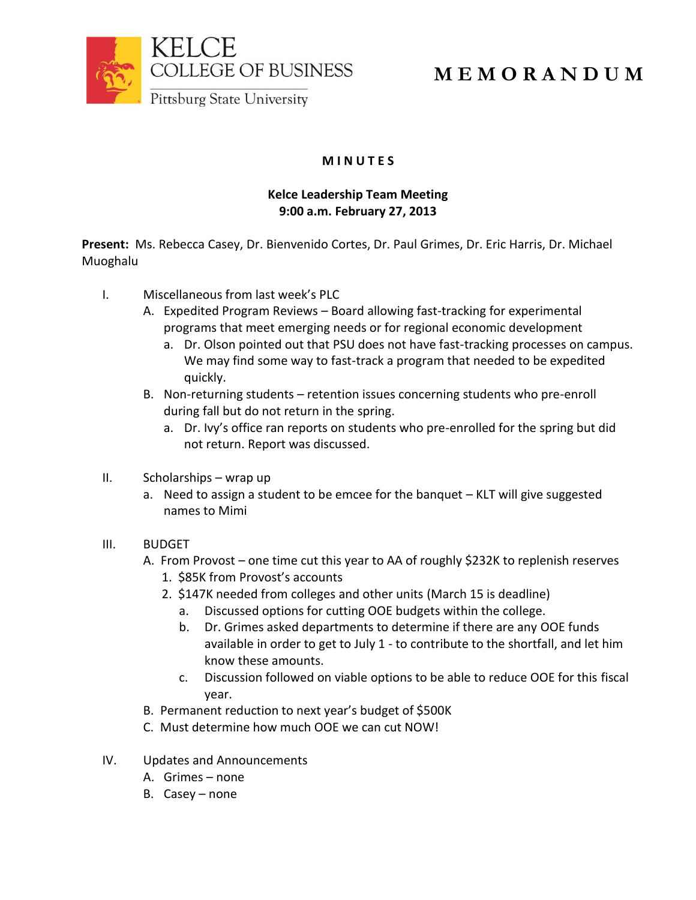

**M E M O R A N D U M**

## **M I N U T E S**

## **Kelce Leadership Team Meeting 9:00 a.m. February 27, 2013**

**Present:** Ms. Rebecca Casey, Dr. Bienvenido Cortes, Dr. Paul Grimes, Dr. Eric Harris, Dr. Michael Muoghalu

- I. Miscellaneous from last week's PLC
	- A. Expedited Program Reviews Board allowing fast-tracking for experimental programs that meet emerging needs or for regional economic development
		- a. Dr. Olson pointed out that PSU does not have fast-tracking processes on campus. We may find some way to fast-track a program that needed to be expedited quickly.
	- B. Non-returning students retention issues concerning students who pre-enroll during fall but do not return in the spring.
		- a. Dr. Ivy's office ran reports on students who pre-enrolled for the spring but did not return. Report was discussed.
- II. Scholarships wrap up
	- a. Need to assign a student to be emcee for the banquet KLT will give suggested names to Mimi

## III. BUDGET

- A. From Provost one time cut this year to AA of roughly \$232K to replenish reserves
	- 1. \$85K from Provost's accounts
	- 2. \$147K needed from colleges and other units (March 15 is deadline)
		- a. Discussed options for cutting OOE budgets within the college.
		- b. Dr. Grimes asked departments to determine if there are any OOE funds available in order to get to July 1 - to contribute to the shortfall, and let him know these amounts.
		- c. Discussion followed on viable options to be able to reduce OOE for this fiscal year.
- B. Permanent reduction to next year's budget of \$500K
- C. Must determine how much OOE we can cut NOW!
- IV. Updates and Announcements
	- A. Grimes none
	- B. Casey none